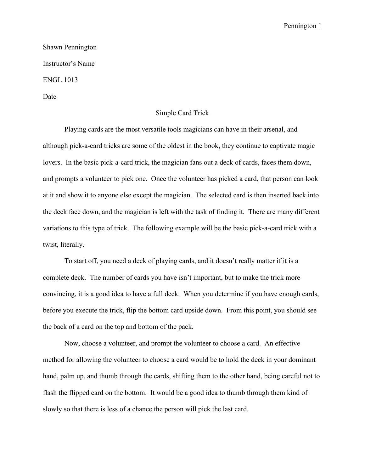## Pennington 1

Shawn Pennington Instructor's Name ENGL 1013

Date

## Simple Card Trick

Playing cards are the most versatile tools magicians can have in their arsenal, and although pick-a-card tricks are some of the oldest in the book, they continue to captivate magic lovers. In the basic pick-a-card trick, the magician fans out a deck of cards, faces them down, and prompts a volunteer to pick one. Once the volunteer has picked a card, that person can look at it and show it to anyone else except the magician. The selected card is then inserted back into the deck face down, and the magician is left with the task of finding it. There are many different variations to this type of trick. The following example will be the basic pick-a-card trick with a twist, literally.

To start off, you need a deck of playing cards, and it doesn't really matter if it is a complete deck. The number of cards you have isn't important, but to make the trick more convincing, it is a good idea to have a full deck. When you determine if you have enough cards, before you execute the trick, flip the bottom card upside down. From this point, you should see the back of a card on the top and bottom of the pack.

Now, choose a volunteer, and prompt the volunteer to choose a card. An effective method for allowing the volunteer to choose a card would be to hold the deck in your dominant hand, palm up, and thumb through the cards, shifting them to the other hand, being careful not to flash the flipped card on the bottom. It would be a good idea to thumb through them kind of slowly so that there is less of a chance the person will pick the last card.